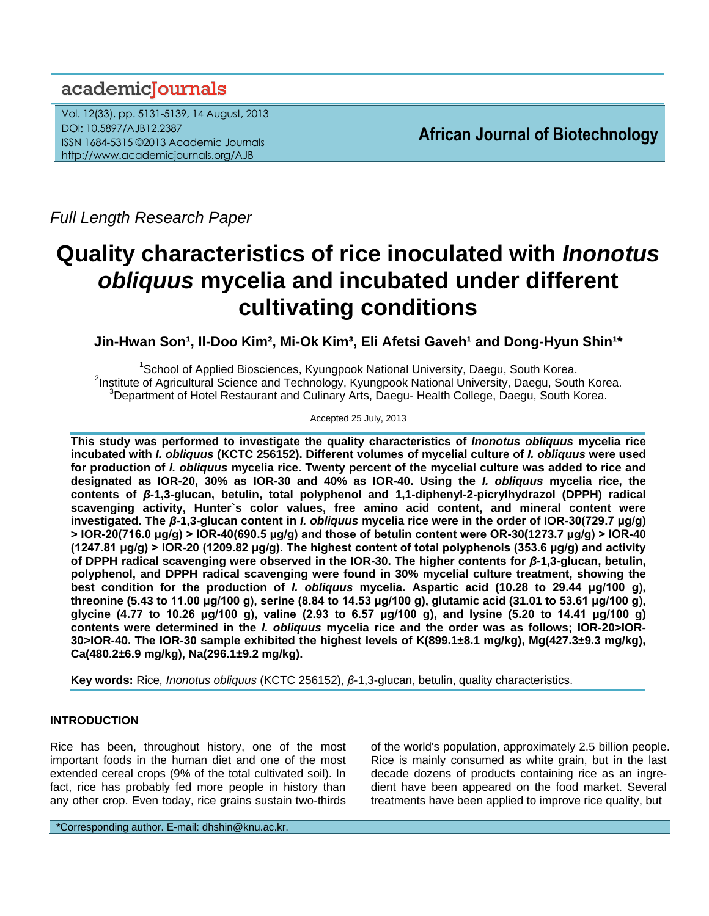## academiclournals

Vol. 12(33), pp. 5131-5139, 14 August, 2013 DOI: 10.5897/AJB12.2387 ISSN 1684-5315 ©2013 Academic Journals http://www.academicjournals.org/AJB

**African Journal of Biotechnology**

*Full Length Research Paper*

# **Quality characteristics of rice inoculated with** *Inonotus obliquus* **mycelia and incubated under different cultivating conditions**

Jin-Hwan Son<sup>1</sup>, Il-Doo Kim<sup>2</sup>, Mi-Ok Kim<sup>3</sup>, Eli Afetsi Gaveh<sup>1</sup> and Dong-Hyun Shin<sup>1\*</sup>

<sup>1</sup>School of Applied Biosciences, Kyungpook National University, Daegu, South Korea. <sup>2</sup>Institute of Agricultural Science and Technology, Kyungpook National University, Daegu, South Korea.  $3$ Department of Hotel Restaurant and Culinary Arts, Daegu- Health College, Daegu, South Korea.

Accepted 25 July, 2013

**This study was performed to investigate the quality characteristics of** *Inonotus obliquus* **mycelia rice incubated with** *I. obliquus* **(KCTC 256152). Different volumes of mycelial culture of** *I. obliquus* **were used for production of** *I. obliquus* **mycelia rice. Twenty percent of the mycelial culture was added to rice and designated as IOR-20, 30% as IOR-30 and 40% as IOR-40. Using the** *I. obliquus* **mycelia rice, the contents of** *β***-1,3-glucan, betulin, total polyphenol and 1,1-diphenyl-2-picrylhydrazol (DPPH) radical scavenging activity, Hunter`s color values, free amino acid content, and mineral content were investigated. The** *β***-1,3-glucan content in** *I. obliquus* **mycelia rice were in the order of IOR-30(729.7 μg/g) > IOR-20(716.0 μg/g) > IOR-40(690.5 μg/g) and those of betulin content were OR-30(1273.7 μg/g) > IOR-40 (1247.81 μg/g) > IOR-20 (1209.82 μg/g). The highest content of total polyphenols (353.6 μg/g) and activity of DPPH radical scavenging were observed in the IOR-30. The higher contents for** *β***-1,3-glucan, betulin, polyphenol, and DPPH radical scavenging were found in 30% mycelial culture treatment, showing the best condition for the production of** *I. obliquus* **mycelia. Aspartic acid (10.28 to 29.44 μg/100 g), threonine (5.43 to 11.00 μg/100 g), serine (8.84 to 14.53 μg/100 g), glutamic acid (31.01 to 53.61 μg/100 g), glycine (4.77 to 10.26 μg/100 g), valine (2.93 to 6.57 μg/100 g), and lysine (5.20 to 14.41 μg/100 g) contents were determined in the** *I. obliquus* **mycelia rice and the order was as follows; IOR-20>IOR-30>IOR-40. The IOR-30 sample exhibited the highest levels of K(899.1±8.1 mg/kg), Mg(427.3±9.3 mg/kg), Ca(480.2±6.9 mg/kg), Na(296.1±9.2 mg/kg).**

**Key words:** Rice*, Inonotus obliquus* (KCTC 256152), *β*-1,3-glucan, betulin, quality characteristics.

## **INTRODUCTION**

Rice has been, throughout history, one of the most important foods in the human diet and one of the most extended cereal crops (9% of the total cultivated soil). In fact, rice has probably fed more people in history than any other crop. Even today, rice grains sustain two-thirds of the world's population, approximately 2.5 billion people. Rice is mainly consumed as white grain, but in the last decade dozens of products containing rice as an ingredient have been appeared on the food market. Several treatments have been applied to improve rice quality, but

\*Corresponding author. E-mail: dhshin@knu.ac.kr.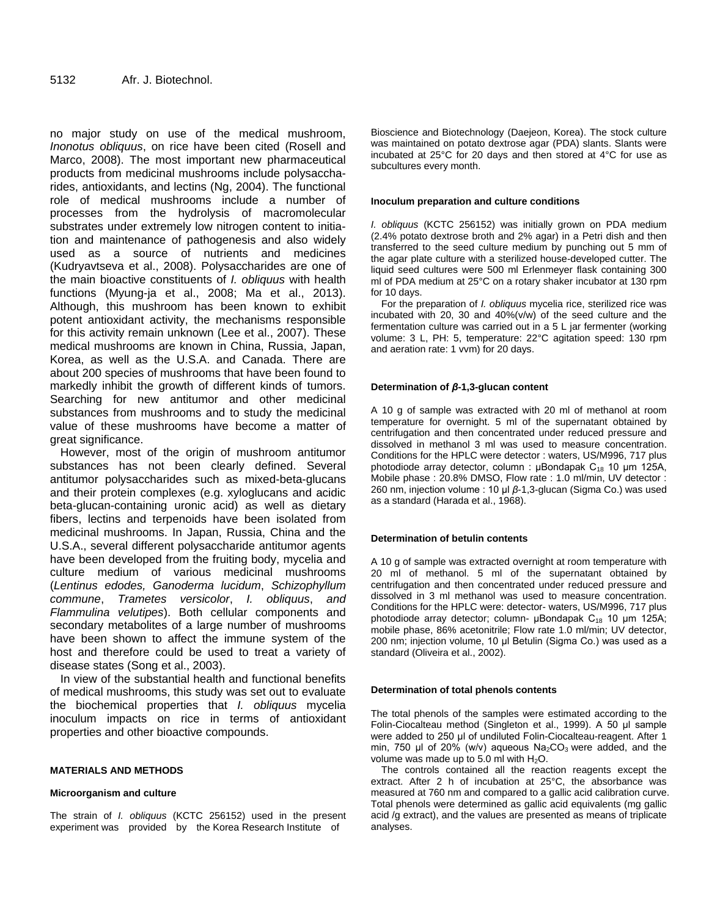no major study on use of the medical mushroom, *Inonotus obliquus*, on rice have been cited (Rosell and Marco, 2008). The most important new pharmaceutical products from medicinal mushrooms include polysaccharides, antioxidants, and lectins (Ng, 2004). The functional role of medical mushrooms include a number of processes from the hydrolysis of macromolecular substrates under extremely low nitrogen content to initiation and maintenance of pathogenesis and also widely used as a source of nutrients and medicines (Kudryavtseva et al., 2008). Polysaccharides are one of the main bioactive constituents of *I. obliquus* with health functions (Myung-ja et al., 2008; Ma et al., 2013). Although, this mushroom has been known to exhibit potent antioxidant activity, the mechanisms responsible for this activity remain unknown (Lee et al., 2007). These medical mushrooms are known in China, Russia, Japan, Korea, as well as the U.S.A. and Canada. There are about 200 species of mushrooms that have been found to markedly inhibit the growth of different kinds of tumors. Searching for new antitumor and other medicinal substances from mushrooms and to study the medicinal value of these mushrooms have become a matter of great significance.

However, most of the origin of mushroom antitumor substances has not been clearly defined. Several antitumor polysaccharides such as mixed-beta-glucans and their protein complexes (e.g. xyloglucans and acidic beta-glucan-containing uronic acid) as well as dietary fibers, lectins and terpenoids have been isolated from medicinal mushrooms. In Japan, Russia, China and the U.S.A., several different polysaccharide antitumor agents have been developed from the fruiting body, mycelia and culture medium of various medicinal mushrooms (*Lentinus edodes, Ganoderma lucidum*, *Schizophyllum commune*, *Trametes versicolor*, *I. obliquus*, *and Flammulina velutipes*). Both cellular components and secondary metabolites of a large number of mushrooms have been shown to affect the immune system of the host and therefore could be used to treat a variety of disease states (Song et al., 2003).

In view of the substantial health and functional benefits of medical mushrooms, this study was set out to evaluate the biochemical properties that *I. obliquus* mycelia inoculum impacts on rice in terms of antioxidant properties and other bioactive compounds.

#### **MATERIALS AND METHODS**

#### **Microorganism and culture**

The strain of *I. obliquus* (KCTC 256152) used in the present experiment was provided by the Korea Research Institute of

Bioscience and Biotechnology (Daejeon, Korea). The stock culture was maintained on potato dextrose agar (PDA) slants. Slants were incubated at 25°C for 20 days and then stored at 4°C for use as subcultures every month.

#### **Inoculum preparation and culture conditions**

*I. obliquus* (KCTC 256152) was initially grown on PDA medium (2.4% potato dextrose broth and 2% agar) in a Petri dish and then transferred to the seed culture medium by punching out 5 mm of the agar plate culture with a sterilized house-developed cutter. The liquid seed cultures were 500 ml Erlenmeyer flask containing 300 ml of PDA medium at 25°C on a rotary shaker incubator at 130 rpm for 10 days.

For the preparation of *I. obliquus* mycelia rice, sterilized rice was incubated with 20, 30 and 40%(v/w) of the seed culture and the fermentation culture was carried out in a 5 L jar fermenter (working volume: 3 L, PH: 5, temperature: 22°C agitation speed: 130 rpm and aeration rate: 1 vvm) for 20 days.

#### **Determination of** *β***-1,3-glucan content**

A 10 g of sample was extracted with 20 ml of methanol at room temperature for overnight. 5 ml of the supernatant obtained by centrifugation and then concentrated under reduced pressure and dissolved in methanol 3 ml was used to measure concentration. Conditions for the HPLC were detector : waters, US/M996, 717 plus photodiode array detector, column :  $\mu$ Bondapak C<sub>18</sub> 10  $\mu$ m 125A, Mobile phase : 20.8% DMSO, Flow rate : 1.0 ml/min, UV detector : 260 nm, injection volume : 10 μl *β*-1,3-glucan (Sigma Co.) was used as a standard (Harada et al., 1968).

#### **Determination of betulin contents**

A 10 g of sample was extracted overnight at room temperature with 20 ml of methanol. 5 ml of the supernatant obtained by centrifugation and then concentrated under reduced pressure and dissolved in 3 ml methanol was used to measure concentration. Conditions for the HPLC were: detector- waters, US/M996, 717 plus photodiode array detector; column- μBondapak  $C_{18}$  10 μm 125A; mobile phase, 86% acetonitrile; Flow rate 1.0 ml/min; UV detector, 200 nm; injection volume, 10 μl Betulin (Sigma Co.) was used as a standard (Oliveira et al., 2002).

#### **Determination of total phenols contents**

The total phenols of the samples were estimated according to the Folin-Ciocalteau method (Singleton et al., 1999). A 50 μl sample were added to 250 μl of undiluted Folin-Ciocalteau-reagent. After 1 min, 750 μl of 20% (w/v) aqueous  $Na<sub>2</sub>CO<sub>3</sub>$  were added, and the volume was made up to 5.0 ml with  $H_2O$ .

The controls contained all the reaction reagents except the extract. After 2 h of incubation at 25°C, the absorbance was measured at 760 nm and compared to a gallic acid calibration curve. Total phenols were determined as gallic acid equivalents (mg gallic acid /g extract), and the values are presented as means of triplicate analyses.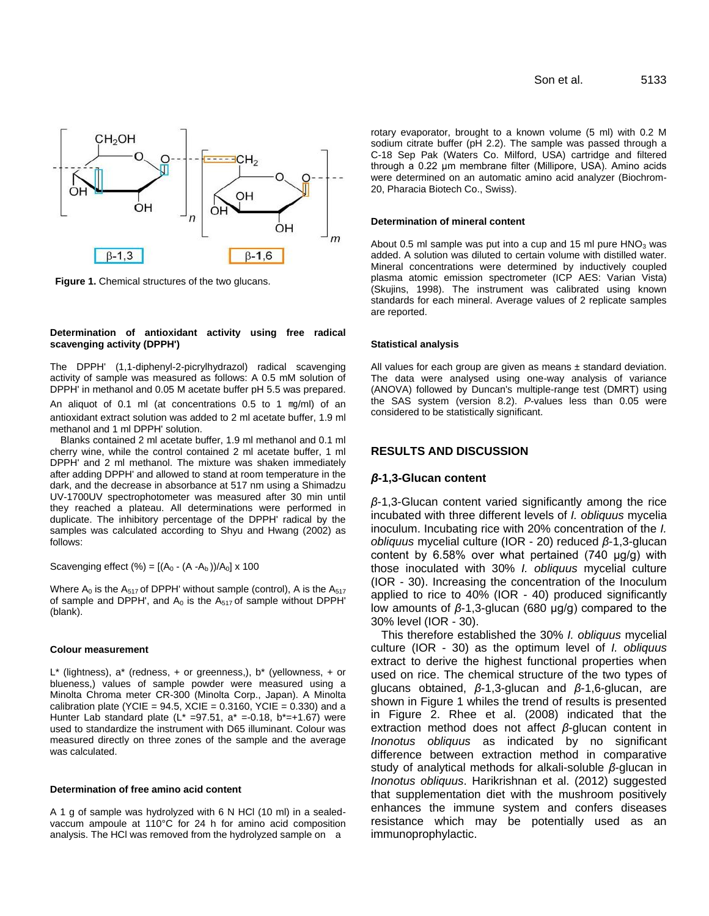

**Figure 1.** Chemical structures of the two glucans.

#### **Determination of antioxidant activity using free radical scavenging activity (DPPH')**

The DPPH' (1,1-diphenyl-2-picrylhydrazol) radical scavenging activity of sample was measured as follows: A 0.5 mM solution of DPPH' in methanol and 0.05 M acetate buffer pH 5.5 was prepared.

An aliquot of 0.1 ml (at concentrations 0.5 to 1 ㎎/ml) of an antioxidant extract solution was added to 2 ml acetate buffer, 1.9 ml methanol and 1 ml DPPH' solution.

Blanks contained 2 ml acetate buffer, 1.9 ml methanol and 0.1 ml cherry wine, while the control contained 2 ml acetate buffer, 1 ml DPPH' and 2 ml methanol. The mixture was shaken immediately after adding DPPH' and allowed to stand at room temperature in the dark, and the decrease in absorbance at 517 nm using a Shimadzu UV-1700UV spectrophotometer was measured after 30 min until they reached a plateau. All determinations were performed in duplicate. The inhibitory percentage of the DPPH' radical by the samples was calculated according to Shyu and Hwang (2002) as follows:

Scavenging effect (%) =  $[(A_0 - (A - A_b))/A_0] \times 100$ 

Where  $A_0$  is the  $A_{517}$  of DPPH' without sample (control), A is the  $A_{517}$ of sample and DPPH', and  $A_0$  is the  $A_{517}$  of sample without DPPH' (blank).

#### **Colour measurement**

 $L^*$  (lightness),  $a^*$  (redness,  $+$  or greenness,),  $b^*$  (yellowness,  $+$  or blueness,) values of sample powder were measured using a Minolta Chroma meter CR-300 (Minolta Corp., Japan). A Minolta calibration plate (YCIE =  $94.5$ , XCIE =  $0.3160$ , YCIE =  $0.330$ ) and a Hunter Lab standard plate  $(L^* = 97.51, a^* = 0.18, b^* = +1.67)$  were used to standardize the instrument with D65 illuminant. Colour was measured directly on three zones of the sample and the average was calculated.

#### **Determination of free amino acid content**

A 1 g of sample was hydrolyzed with 6 N HCl (10 ml) in a sealedvaccum ampoule at 110°C for 24 h for amino acid composition analysis. The HCl was removed from the hydrolyzed sample on a

rotary evaporator, brought to a known volume (5 ml) with 0.2 M sodium citrate buffer (pH 2.2). The sample was passed through a C-18 Sep Pak (Waters Co. Milford, USA) cartridge and filtered through a 0.22 μm membrane filter (Millipore, USA). Amino acids were determined on an automatic amino acid analyzer (Biochrom-20, Pharacia Biotech Co., Swiss).

#### **Determination of mineral content**

About 0.5 ml sample was put into a cup and 15 ml pure  $HNO<sub>3</sub>$  was added. A solution was diluted to certain volume with distilled water. Mineral concentrations were determined by inductively coupled plasma atomic emission spectrometer (ICP AES: Varian Vista) (Skujins, 1998). The instrument was calibrated using known standards for each mineral. Average values of 2 replicate samples are reported.

#### **Statistical analysis**

All values for each group are given as means  $\pm$  standard deviation. The data were analysed using one-way analysis of variance (ANOVA) followed by Duncan's multiple-range test (DMRT) using the SAS system (version 8.2). *P*-values less than 0.05 were considered to be statistically significant.

#### **RESULTS AND DISCUSSION**

#### *β***-1,3-Glucan content**

*β*-1,3-Glucan content varied significantly among the rice incubated with three different levels of *I. obliquus* mycelia inoculum. Incubating rice with 20% concentration of the *I. obliquus* mycelial culture (IOR - 20) reduced *β*-1,3-glucan content by 6.58% over what pertained (740 μg/g) with those inoculated with 30% *I. obliquus* mycelial culture (IOR - 30). Increasing the concentration of the Inoculum applied to rice to 40% (IOR - 40) produced significantly low amounts of *β*-1,3-glucan (680 μg/g) compared to the 30% level (IOR - 30).

This therefore established the 30% *I. obliquus* mycelial culture (IOR - 30) as the optimum level of *I. obliquus* extract to derive the highest functional properties when used on rice. The chemical structure of the two types of glucans obtained, *β*-1,3-glucan and *β*-1,6-glucan, are shown in Figure 1 whiles the trend of results is presented in Figure 2. Rhee et al. (2008) indicated that the extraction method does not affect *β*-glucan content in *Inonotus obliquus* as indicated by no significant difference between extraction method in comparative study of analytical methods for alkali-soluble *β*-glucan in *Inonotus obliquus*. Harikrishnan et al. (2012) suggested that supplementation diet with the mushroom positively enhances the immune system and confers diseases resistance which may be potentially used as an immunoprophylactic.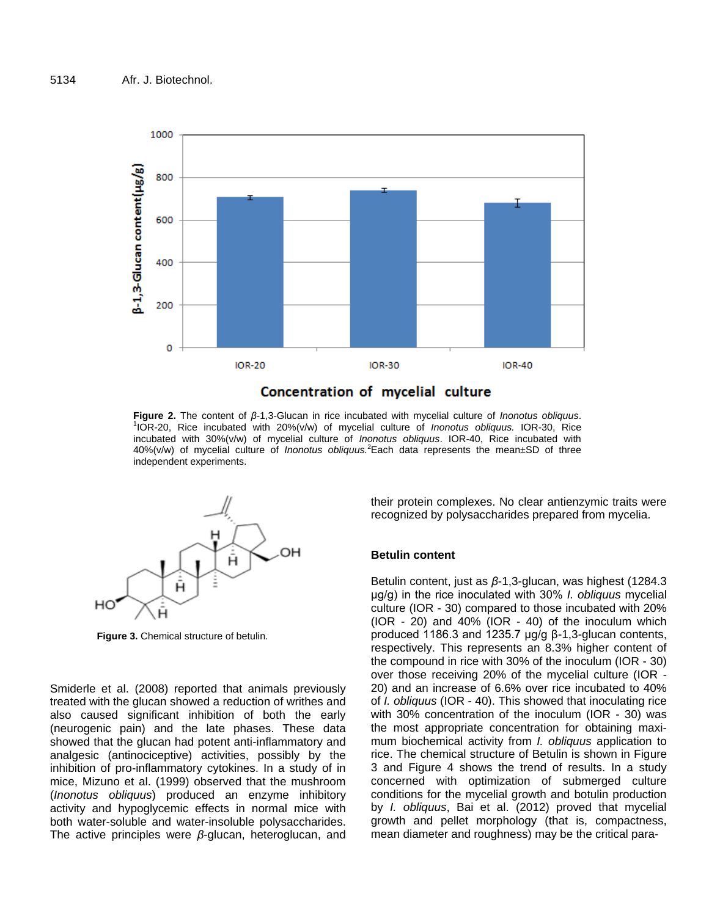

**Figure 2.** The content of *β*-1,3-Glucan in rice incubated with mycelial culture of *Inonotus obliquus*. 1 IOR-20, Rice incubated with 20%(v/w) of mycelial culture of *Inonotus obliquus.* IOR-30, Rice incubated with 30%(v/w) of mycelial culture of *Inonotus obliquus*. IOR-40, Rice incubated with 40%(v/w) of mycelial culture of *Inonotus obliquus.*<sup>2</sup>Each data represents the mean±SD of three independent experiments.



**Figure 3.** Chemical structure of betulin.

Smiderle et al. (2008) reported that animals previously treated with the glucan showed a reduction of writhes and also caused significant inhibition of both the early (neurogenic pain) and the late phases. These data showed that the glucan had potent anti-inflammatory and analgesic (antinociceptive) activities, possibly by the inhibition of pro-inflammatory cytokines. In a study of in mice, Mizuno et al. (1999) observed that the mushroom (*Inonotus obliquus*) produced an enzyme inhibitory activity and hypoglycemic effects in normal mice with both water-soluble and water-insoluble polysaccharides. The active principles were *β*-glucan, heteroglucan, and their protein complexes. No clear antienzymic traits were recognized by polysaccharides prepared from mycelia.

## **Betulin content**

Betulin content, just as *β*-1,3-glucan, was highest (1284.3 μg/g) in the rice inoculated with 30% *I. obliquus* mycelial culture (IOR - 30) compared to those incubated with 20% (IOR - 20) and 40% (IOR - 40) of the inoculum which produced 1186.3 and 1235.7 μg/g β-1,3-glucan contents, respectively. This represents an 8.3% higher content of the compound in rice with 30% of the inoculum (IOR - 30) over those receiving 20% of the mycelial culture (IOR - 20) and an increase of 6.6% over rice incubated to 40% of *I. obliquus* (IOR - 40). This showed that inoculating rice with 30% concentration of the inoculum (IOR - 30) was the most appropriate concentration for obtaining maximum biochemical activity from *I. obliquus* application to rice. The chemical structure of Betulin is shown in Figure 3 and Figure 4 shows the trend of results. In a study concerned with optimization of submerged culture conditions for the mycelial growth and botulin production by *I. obliquus*, Bai et al. (2012) proved that mycelial growth and pellet morphology (that is, compactness, mean diameter and roughness) may be the critical para-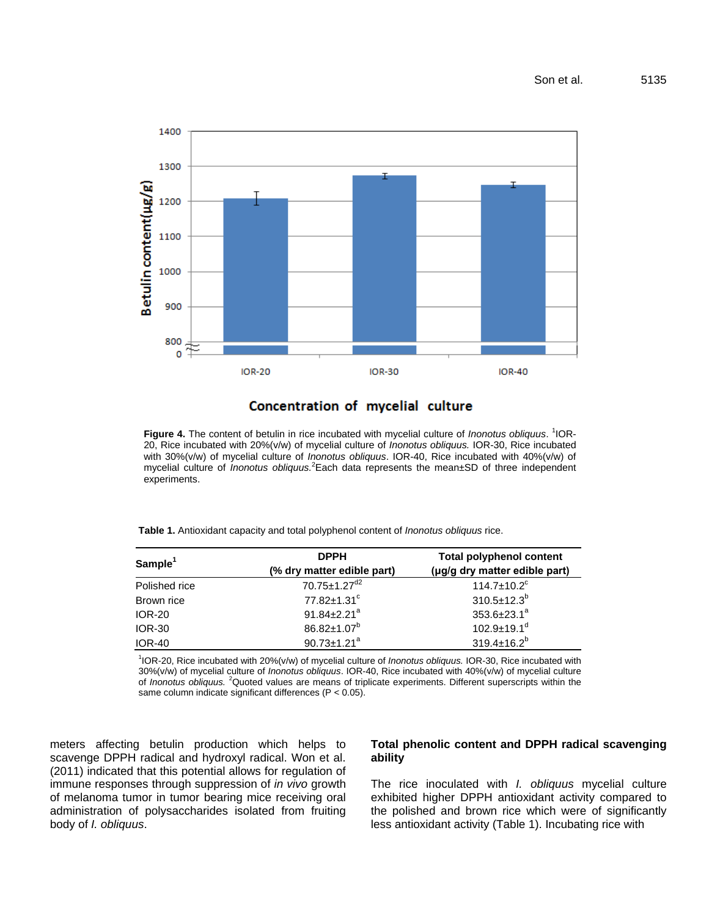

## Concentration of mycelial culture

**Figure 4.** The content of betulin in rice incubated with mycelial culture of *Inonotus obliquus*. 1 IOR-20, Rice incubated with 20%(v/w) of mycelial culture of *Inonotus obliquus.* IOR-30, Rice incubated with 30%(v/w) of mycelial culture of *Inonotus obliquus*. IOR-40, Rice incubated with 40%(v/w) of mycelial culture of *Inonotus obliquus.*<sup>2</sup>Each data represents the mean±SD of three independent experiments.

**Table 1.** Antioxidant capacity and total polyphenol content of *Inonotus obliquus* rice.

| ${\sf Sample}^1$ | <b>DPPH</b>                   | <b>Total polyphenol content</b> |  |  |
|------------------|-------------------------------|---------------------------------|--|--|
|                  | (% dry matter edible part)    | (µg/g dry matter edible part)   |  |  |
| Polished rice    | 70.75±1.27 <sup>d2</sup>      | $114.7 \pm 10.2$ <sup>c</sup>   |  |  |
| Brown rice       | $77.82 \pm 1.31$ <sup>c</sup> | $310.5 \pm 12.3^b$              |  |  |
| <b>IOR-20</b>    | $91.84 \pm 2.21$ <sup>a</sup> | $353.6 \pm 23.1^a$              |  |  |
| <b>IOR-30</b>    | $86.82 \pm 1.07^b$            | $102.9 \pm 19.1$ <sup>d</sup>   |  |  |
| <b>IOR-40</b>    | $90.73 \pm 1.21^a$            | $319.4 \pm 16.2^b$              |  |  |
|                  |                               |                                 |  |  |

1 IOR-20, Rice incubated with 20%(v/w) of mycelial culture of *Inonotus obliquus.* IOR-30, Rice incubated with 30%(v/w) of mycelial culture of *Inonotus obliquus*. IOR-40, Rice incubated with 40%(v/w) of mycelial culture of *Inonotus obliquus.* <sup>2</sup>Quoted values are means of triplicate experiments. Different superscripts within the same column indicate significant differences (P < 0.05).

meters affecting betulin production which helps to scavenge DPPH radical and hydroxyl radical. Won et al. (2011) indicated that this potential allows for regulation of immune responses through suppression of *in vivo* growth of melanoma tumor in tumor bearing mice receiving oral administration of polysaccharides isolated from fruiting body of *I. obliquus*.

## **Total phenolic content and DPPH radical scavenging ability**

The rice inoculated with *I. obliquus* mycelial culture exhibited higher DPPH antioxidant activity compared to the polished and brown rice which were of significantly less antioxidant activity (Table 1). Incubating rice with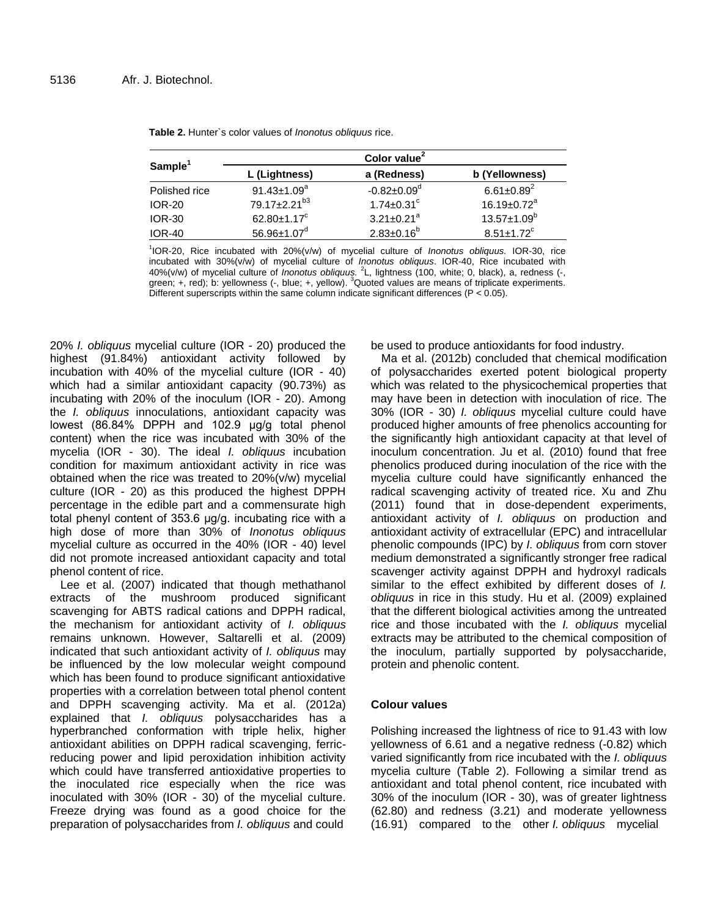| Sample <sup>1</sup> | Color value <sup>2</sup>       |                               |                               |  |
|---------------------|--------------------------------|-------------------------------|-------------------------------|--|
|                     | L (Lightness)                  | a (Redness)                   | b (Yellowness)                |  |
| Polished rice       | 91.43 $\pm$ 1.09 $^{a}$        | $-0.82 \pm 0.09$ <sup>d</sup> | $6.61 \pm 0.89^2$             |  |
| <b>IOR-20</b>       | 79.17±2.21 <sup>b3</sup>       | $1.74 \pm 0.31$ <sup>c</sup>  | $16.19 \pm 0.72$ <sup>a</sup> |  |
| <b>IOR-30</b>       | 62.80 $\pm$ 1.17 $\textdegree$ | $3.21 \pm 0.21$ <sup>a</sup>  | $13.57 \pm 1.09^b$            |  |
| <b>IOR-40</b>       | $56.96 \pm 1.07$ <sup>d</sup>  | $2.83 \pm 0.16^b$             | $8.51 \pm 1.72$ <sup>c</sup>  |  |

**Table 2.** Hunter`s color values of *Inonotus obliquus* rice.

1 IOR-20, Rice incubated with 20%(v/w) of mycelial culture of *Inonotus obliquus.* IOR-30, rice incubated with 30%(v/w) of mycelial culture of *Inonotus obliquus*. IOR-40, Rice incubated with 40%(v/w) of mycelial culture of *Inonotus obliquus.* <sup>2</sup> L, lightness (100, white; 0, black), a, redness (-, green; +, red); b: yellowness (-, blue; +, yellow). <sup>3</sup>Quoted values are means of triplicate experiments. Different superscripts within the same column indicate significant differences ( $P < 0.05$ ).

20% *I. obliquus* mycelial culture (IOR - 20) produced the highest (91.84%) antioxidant activity followed by incubation with 40% of the mycelial culture (IOR - 40) which had a similar antioxidant capacity (90.73%) as incubating with 20% of the inoculum (IOR - 20). Among the *I. obliquus* innoculations, antioxidant capacity was lowest (86.84% DPPH and 102.9 μg/g total phenol content) when the rice was incubated with 30% of the mycelia (IOR - 30). The ideal *I. obliquus* incubation condition for maximum antioxidant activity in rice was obtained when the rice was treated to 20%(v/w) mycelial culture (IOR - 20) as this produced the highest DPPH percentage in the edible part and a commensurate high total phenyl content of 353.6 μg/g. incubating rice with a high dose of more than 30% of *Inonotus obliquus* mycelial culture as occurred in the 40% (IOR - 40) level did not promote increased antioxidant capacity and total phenol content of rice.

Lee et al. (2007) indicated that though methathanol extracts of the mushroom produced significant scavenging for ABTS radical cations and DPPH radical, the mechanism for antioxidant activity of *I. obliquus* remains unknown. However, Saltarelli et al. (2009) indicated that such antioxidant activity of *I. obliquus* may be influenced by the low molecular weight compound which has been found to produce significant antioxidative properties with a correlation between total phenol content and DPPH scavenging activity. Ma et al. (2012a) explained that *I. obliquus* polysaccharides has a hyperbranched conformation with triple helix, higher antioxidant abilities on DPPH radical scavenging, ferricreducing power and lipid peroxidation inhibition activity which could have transferred antioxidative properties to the inoculated rice especially when the rice was inoculated with 30% (IOR - 30) of the mycelial culture. Freeze drying was found as a good choice for the preparation of polysaccharides from *I. obliquus* and could

be used to produce antioxidants for food industry.

Ma et al. (2012b) concluded that chemical modification of polysaccharides exerted potent biological property which was related to the physicochemical properties that may have been in detection with inoculation of rice. The 30% (IOR - 30) *I. obliquus* mycelial culture could have produced higher amounts of free phenolics accounting for the significantly high antioxidant capacity at that level of inoculum concentration. Ju et al. (2010) found that free phenolics produced during inoculation of the rice with the mycelia culture could have significantly enhanced the radical scavenging activity of treated rice. Xu and Zhu (2011) found that in dose-dependent experiments, antioxidant activity of *I. obliquus* on production and antioxidant activity of extracellular (EPC) and intracellular phenolic compounds (IPC) by *I. obliquus* from corn stover medium demonstrated a significantly stronger free radical scavenger activity against DPPH and hydroxyl radicals similar to the effect exhibited by different doses of *I. obliquus* in rice in this study. Hu et al. (2009) explained that the different biological activities among the untreated rice and those incubated with the *I. obliquus* mycelial extracts may be attributed to the chemical composition of the inoculum, partially supported by polysaccharide, protein and phenolic content.

## **Colour values**

Polishing increased the lightness of rice to 91.43 with low yellowness of 6.61 and a negative redness (-0.82) which varied significantly from rice incubated with the *I. obliquus* mycelia culture (Table 2). Following a similar trend as antioxidant and total phenol content, rice incubated with 30% of the inoculum (IOR - 30), was of greater lightness (62.80) and redness (3.21) and moderate yellowness (16.91) compared to the other *I. obliquus* mycelial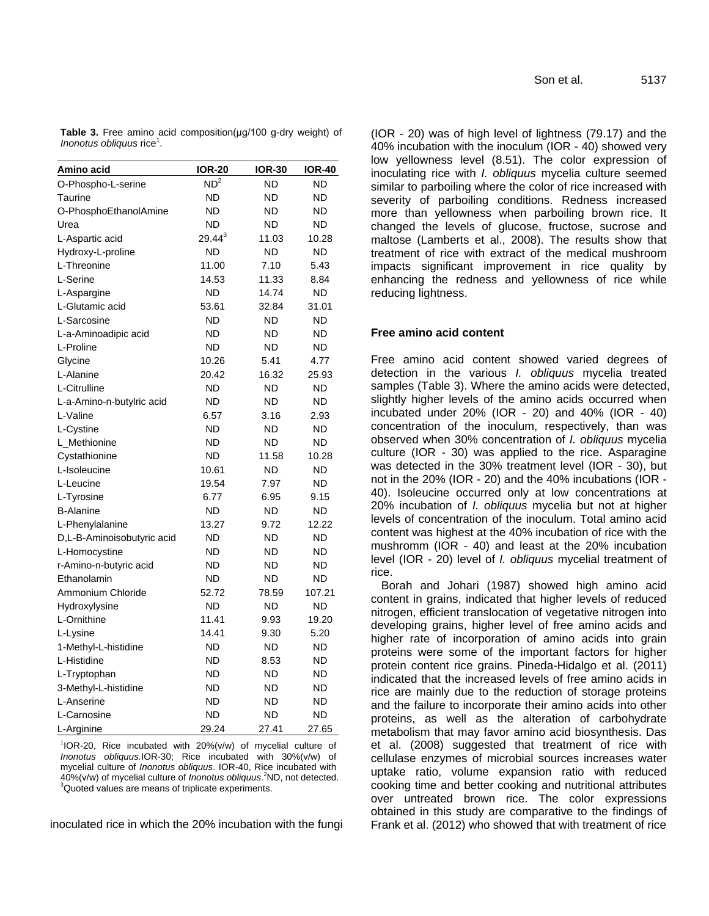**Table 3.** Free amino acid composition(μg/100 g-dry weight) of *Inonotus obliquus* rice<sup>1</sup>.

| Amino acid                 | <b>IOR-20</b>   | <b>IOR-30</b> | IOR-40    |
|----------------------------|-----------------|---------------|-----------|
| O-Phospho-L-serine         | ND <sup>2</sup> | <b>ND</b>     | <b>ND</b> |
| Taurine                    | ND              | ND            | <b>ND</b> |
| O-PhosphoEthanolAmine      | <b>ND</b>       | <b>ND</b>     | ND        |
| Urea                       | <b>ND</b>       | ND            | ND        |
| L-Aspartic acid            | $29.44^{3}$     | 11.03         | 10.28     |
| Hydroxy-L-proline          | <b>ND</b>       | <b>ND</b>     | <b>ND</b> |
| L-Threonine                | 11.00           | 7.10          | 5.43      |
| L-Serine                   | 14.53           | 11.33         | 8.84      |
| L-Aspargine                | <b>ND</b>       | 14.74         | <b>ND</b> |
| L-Glutamic acid            | 53.61           | 32.84         | 31.01     |
| L-Sarcosine                | ND              | ND            | ND        |
| L-a-Aminoadipic acid       | <b>ND</b>       | <b>ND</b>     | <b>ND</b> |
| L-Proline                  | <b>ND</b>       | <b>ND</b>     | ND        |
| Glycine                    | 10.26           | 5.41          | 4.77      |
| L-Alanine                  | 20.42           | 16.32         | 25.93     |
| L-Citrulline               | <b>ND</b>       | ND            | <b>ND</b> |
| L-a-Amino-n-butylric acid  | <b>ND</b>       | <b>ND</b>     | <b>ND</b> |
| L-Valine                   | 6.57            | 3.16          | 2.93      |
| L-Cystine                  | <b>ND</b>       | <b>ND</b>     | ND        |
| L Methionine               | <b>ND</b>       | <b>ND</b>     | <b>ND</b> |
| Cystathionine              | ND              | 11.58         | 10.28     |
| L-Isoleucine               | 10.61           | <b>ND</b>     | <b>ND</b> |
| L-Leucine                  | 19.54           | 7.97          | ND        |
| L-Tyrosine                 | 6.77            | 6.95          | 9.15      |
| <b>B-Alanine</b>           | <b>ND</b>       | <b>ND</b>     | ND        |
| L-Phenylalanine            | 13.27           | 9.72          | 12.22     |
| D,L-B-Aminoisobutyric acid | <b>ND</b>       | <b>ND</b>     | <b>ND</b> |
| L-Homocystine              | <b>ND</b>       | <b>ND</b>     | <b>ND</b> |
| r-Amino-n-butyric acid     | <b>ND</b>       | <b>ND</b>     | ND        |
| Ethanolamin                | <b>ND</b>       | <b>ND</b>     | <b>ND</b> |
| Ammonium Chloride          | 52.72           | 78.59         | 107.21    |
| Hydroxylysine              | ND              | ND            | ND        |
| L-Ornithine                | 11.41           | 9.93          | 19.20     |
| L-Lysine                   | 14.41           | 9.30          | 5.20      |
| 1-Methyl-L-histidine       | <b>ND</b>       | <b>ND</b>     | <b>ND</b> |
| L-Histidine                | <b>ND</b>       | 8.53          | ND        |
| L-Tryptophan               | <b>ND</b>       | <b>ND</b>     | ND        |
| 3-Methyl-L-histidine       | <b>ND</b>       | <b>ND</b>     | <b>ND</b> |
| L-Anserine                 | <b>ND</b>       | <b>ND</b>     | ND        |
| L-Carnosine                | <b>ND</b>       | <b>ND</b>     | <b>ND</b> |
| L-Arginine                 | 29.24           | 27.41         | 27.65     |

 $10R-20$ , Rice incubated with 20%(v/w) of mycelial culture of *Inonotus obliquus.*IOR-30; Rice incubated with 30%(v/w) of mycelial culture of *Inonotus obliquus*. IOR-40, Rice incubated with 40%(v/w) of mycelial culture of *Inonotus obliquus.*<sup>2</sup>ND, not detected. <sup>3</sup>Quoted values are means of triplicate experiments.

inoculated rice in which the 20% incubation with the fungi

Son et al. 5137

(IOR - 20) was of high level of lightness (79.17) and the 40% incubation with the inoculum (IOR - 40) showed very low yellowness level (8.51). The color expression of inoculating rice with *I. obliquus* mycelia culture seemed similar to parboiling where the color of rice increased with severity of parboiling conditions. Redness increased more than yellowness when parboiling brown rice. It changed the levels of glucose, fructose, sucrose and maltose (Lamberts et al., 2008). The results show that treatment of rice with extract of the medical mushroom impacts significant improvement in rice quality by enhancing the redness and yellowness of rice while reducing lightness.

## **Free amino acid content**

Free amino acid content showed varied degrees of detection in the various *I. obliquus* mycelia treated samples (Table 3). Where the amino acids were detected, slightly higher levels of the amino acids occurred when incubated under  $20\%$  (IOR - 20) and  $40\%$  (IOR -  $40$ ) concentration of the inoculum, respectively, than was observed when 30% concentration of *I. obliquus* mycelia culture (IOR - 30) was applied to the rice. Asparagine was detected in the 30% treatment level (IOR - 30), but not in the 20% (IOR - 20) and the 40% incubations (IOR - 40). Isoleucine occurred only at low concentrations at 20% incubation of *I. obliquus* mycelia but not at higher levels of concentration of the inoculum. Total amino acid content was highest at the 40% incubation of rice with the mushromm (IOR - 40) and least at the 20% incubation level (IOR - 20) level of *I. obliquus* mycelial treatment of rice.

Borah and Johari (1987) showed high amino acid content in grains, indicated that higher levels of reduced nitrogen, efficient translocation of vegetative nitrogen into developing grains, higher level of free amino acids and higher rate of incorporation of amino acids into grain proteins were some of the important factors for higher protein content rice grains. Pineda-Hidalgo et al. (2011) indicated that the increased levels of free amino acids in rice are mainly due to the reduction of storage proteins and the failure to incorporate their amino acids into other proteins, as well as the alteration of carbohydrate metabolism that may favor amino acid biosynthesis. Das et al. (2008) suggested that treatment of rice with cellulase enzymes of microbial sources increases water uptake ratio, volume expansion ratio with reduced cooking time and better cooking and nutritional attributes over untreated brown rice. The color expressions obtained in this study are comparative to the findings of Frank et al. (2012) who showed that with treatment of rice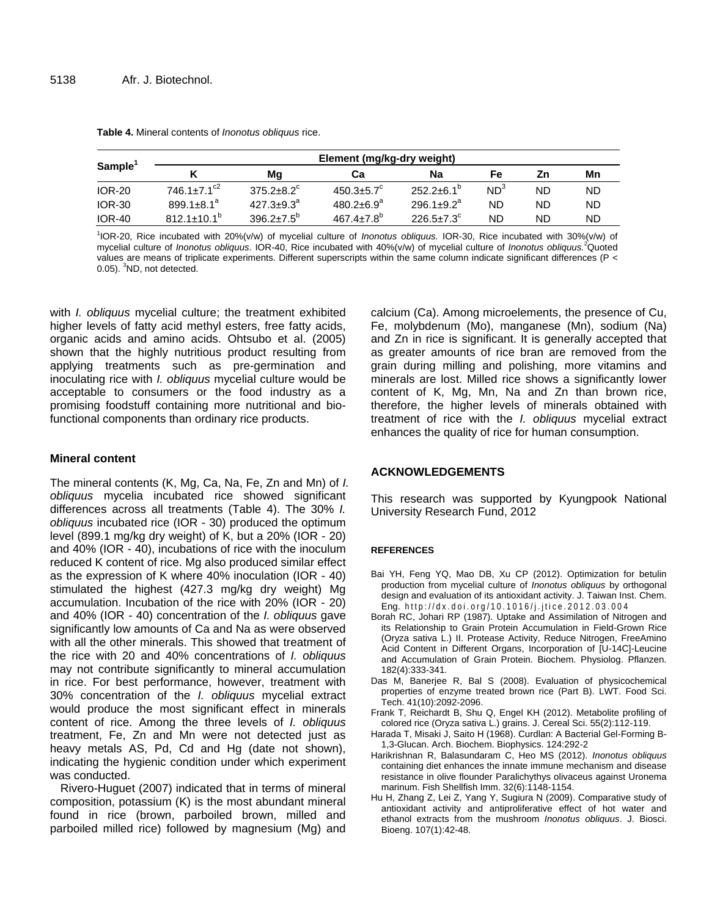| Sample <sup>1</sup> | Element (mg/kg-dry weight)    |                   |                              |                       |                 |           |     |
|---------------------|-------------------------------|-------------------|------------------------------|-----------------------|-----------------|-----------|-----|
|                     |                               | Mq                | Сa                           | Na                    | Fe              | Ζn        | Mn  |
| <b>IOR-20</b>       | $746.1 \pm 7.1$ <sup>c2</sup> | $375.2 + 8.2^c$   | $450.3 \pm 5.7$ <sup>c</sup> | $252.2 + 6.1^{p}$     | ND <sup>3</sup> | <b>ND</b> | ND. |
| <b>IOR-30</b>       | $899.1 + 8.1^a$               | $427.3 \pm 9.3^a$ | $480.2 \pm 6.9^a$            | $296.1 + 9.2^a$       | <b>ND</b>       | ND        | ND. |
| <b>IOR-40</b>       | $812.1 + 10.1b$               | $396.2 + 7.5^{p}$ | $467.4 + 7.8^{b}$            | $226.5 + 7.3^{\circ}$ | <b>ND</b>       | ND        | ND  |

**Table 4.** Mineral contents of *Inonotus obliquus* rice.

1 IOR-20, Rice incubated with 20%(v/w) of mycelial culture of *Inonotus obliquus.* IOR-30, Rice incubated with 30%(v/w) of mycelial culture of *Inonotus obliquus*. IOR-40, Rice incubated with 40%(v/w) of mycelial culture of *Inonotus obliquus.*<sup>2</sup>Quoted values are means of triplicate experiments. Different superscripts within the same column indicate significant differences (P < 0.05). <sup>3</sup>ND, not detected.

with *I. obliquus* mycelial culture; the treatment exhibited higher levels of fatty acid methyl esters, free fatty acids, organic acids and amino acids. Ohtsubo et al. (2005) shown that the highly nutritious product resulting from applying treatments such as pre-germination and inoculating rice with *I. obliquus* mycelial culture would be acceptable to consumers or the food industry as a promising foodstuff containing more nutritional and biofunctional components than ordinary rice products.

## **Mineral content**

The mineral contents (K, Mg, Ca, Na, Fe, Zn and Mn) of *I. obliquus* mycelia incubated rice showed significant differences across all treatments (Table 4). The 30% *I. obliquus* incubated rice (IOR - 30) produced the optimum level (899.1 mg/kg dry weight) of K, but a 20% (IOR - 20) and 40% (IOR - 40), incubations of rice with the inoculum reduced K content of rice. Mg also produced similar effect as the expression of K where 40% inoculation (IOR - 40) stimulated the highest (427.3 mg/kg dry weight) Mg accumulation. Incubation of the rice with 20% (IOR - 20) and 40% (IOR - 40) concentration of the *I. obliquus* gave significantly low amounts of Ca and Na as were observed with all the other minerals. This showed that treatment of the rice with 20 and 40% concentrations of *I. obliquus* may not contribute significantly to mineral accumulation in rice. For best performance, however, treatment with 30% concentration of the *I. obliquus* mycelial extract would produce the most significant effect in minerals content of rice. Among the three levels of *I. obliquus* treatment, Fe, Zn and Mn were not detected just as heavy metals AS, Pd, Cd and Hg (date not shown), indicating the hygienic condition under which experiment was conducted.

Rivero-Huguet (2007) indicated that in terms of mineral composition, potassium (K) is the most abundant mineral found in rice (brown, parboiled brown, milled and parboiled milled rice) followed by magnesium (Mg) and calcium (Ca). Among microelements, the presence of Cu, Fe, molybdenum (Mo), manganese (Mn), sodium (Na) and Zn in rice is significant. It is generally accepted that as greater amounts of rice bran are removed from the grain during milling and polishing, more vitamins and minerals are lost. Milled rice shows a significantly lower content of K, Mg, Mn, Na and Zn than brown rice, therefore, the higher levels of minerals obtained with treatment of rice with the *I. obliquus* mycelial extract enhances the quality of rice for human consumption.

## **ACKNOWLEDGEMENTS**

This research was supported by Kyungpook National University Research Fund, 2012

## **REFERENCES**

- Bai YH, Feng YQ, Mao DB, Xu CP (2012). Optimization for betulin production from mycelial culture of *Inonotus obliquus* by orthogonal design and evaluation of its antioxidant activity. J. Taiwan Inst. Chem. Eng. http://dx.doi.org/10.1016/j.jtice.2012.03.004
- Borah RC, Johari RP (1987). Uptake and Assimilation of Nitrogen and its Relationship to Grain Protein Accumulation in Field-Grown Rice (Oryza sativa L.) II. Protease Activity, Reduce Nitrogen, FreeAmino Acid Content in Different Organs, Incorporation of [U-14C]-Leucine and Accumulation of Grain Protein. Biochem. Physiolog. Pflanzen. 182(4):333-341.
- Das M, Banerjee R, Bal S (2008). Evaluation of physicochemical properties of enzyme treated brown rice (Part B). LWT. Food Sci. Tech. 41(10):2092-2096.
- Frank T, Reichardt B, Shu Q, Engel KH (2012). Metabolite profiling of colored rice (Oryza sativa L.) grains. J. Cereal Sci. 55(2):112-119.
- Harada T, Misaki J, Saito H (1968). Curdlan: A Bacterial Gel-Forming B-1,3-Glucan. Arch. Biochem. Biophysics. 124:292-2
- Harikrishnan R, Balasundaram C, Heo MS (2012). *Inonotus obliquus* containing diet enhances the innate immune mechanism and disease resistance in olive flounder Paralichythys olivaceus against Uronema marinum. Fish Shellfish Imm. 32(6):1148-1154.
- Hu H, Zhang Z, Lei Z, Yang Y, Sugiura N (2009). Comparative study of antioxidant activity and antiproliferative effect of hot water and ethanol extracts from the mushroom *Inonotus obliquus*. J. Biosci. Bioeng. 107(1):42-48.